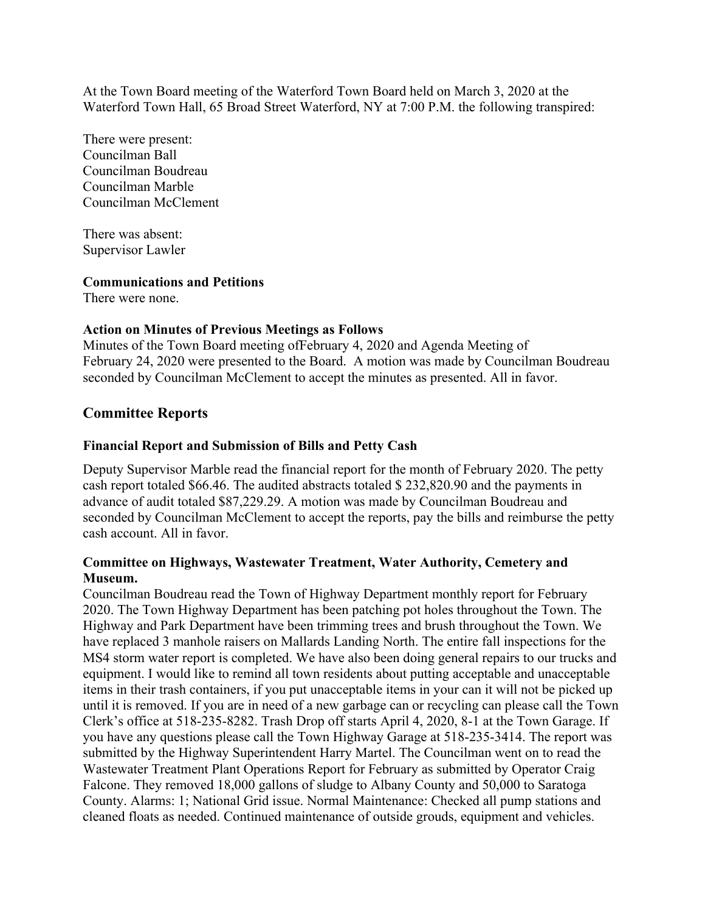At the Town Board meeting of the Waterford Town Board held on March 3, 2020 at the Waterford Town Hall, 65 Broad Street Waterford, NY at 7:00 P.M. the following transpired:

There were present: Councilman Ball Councilman Boudreau Councilman Marble Councilman McClement

There was absent: Supervisor Lawler

## **Communications and Petitions**

There were none.

## **Action on Minutes of Previous Meetings as Follows**

Minutes of the Town Board meeting ofFebruary 4, 2020 and Agenda Meeting of February 24, 2020 were presented to the Board. A motion was made by Councilman Boudreau seconded by Councilman McClement to accept the minutes as presented. All in favor.

# **Committee Reports**

### **Financial Report and Submission of Bills and Petty Cash**

Deputy Supervisor Marble read the financial report for the month of February 2020. The petty cash report totaled \$66.46. The audited abstracts totaled \$ 232,820.90 and the payments in advance of audit totaled \$87,229.29. A motion was made by Councilman Boudreau and seconded by Councilman McClement to accept the reports, pay the bills and reimburse the petty cash account. All in favor.

## **Committee on Highways, Wastewater Treatment, Water Authority, Cemetery and Museum.**

Councilman Boudreau read the Town of Highway Department monthly report for February 2020. The Town Highway Department has been patching pot holes throughout the Town. The Highway and Park Department have been trimming trees and brush throughout the Town. We have replaced 3 manhole raisers on Mallards Landing North. The entire fall inspections for the MS4 storm water report is completed. We have also been doing general repairs to our trucks and equipment. I would like to remind all town residents about putting acceptable and unacceptable items in their trash containers, if you put unacceptable items in your can it will not be picked up until it is removed. If you are in need of a new garbage can or recycling can please call the Town Clerk's office at 518-235-8282. Trash Drop off starts April 4, 2020, 8-1 at the Town Garage. If you have any questions please call the Town Highway Garage at 518-235-3414. The report was submitted by the Highway Superintendent Harry Martel. The Councilman went on to read the Wastewater Treatment Plant Operations Report for February as submitted by Operator Craig Falcone. They removed 18,000 gallons of sludge to Albany County and 50,000 to Saratoga County. Alarms: 1; National Grid issue. Normal Maintenance: Checked all pump stations and cleaned floats as needed. Continued maintenance of outside grouds, equipment and vehicles.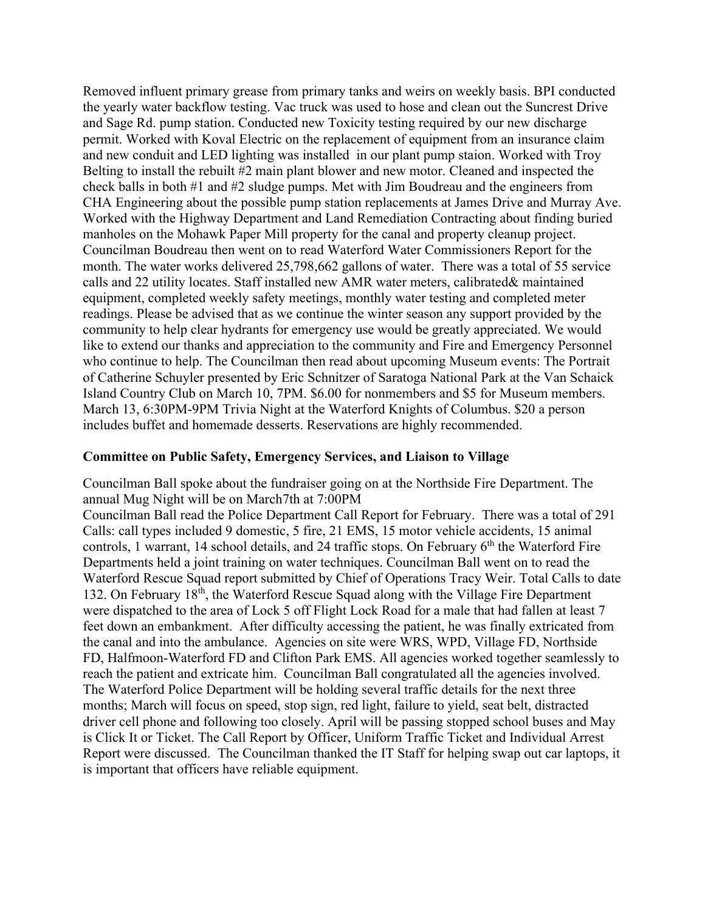Removed influent primary grease from primary tanks and weirs on weekly basis. BPI conducted the yearly water backflow testing. Vac truck was used to hose and clean out the Suncrest Drive and Sage Rd. pump station. Conducted new Toxicity testing required by our new discharge permit. Worked with Koval Electric on the replacement of equipment from an insurance claim and new conduit and LED lighting was installed in our plant pump staion. Worked with Troy Belting to install the rebuilt #2 main plant blower and new motor. Cleaned and inspected the check balls in both #1 and #2 sludge pumps. Met with Jim Boudreau and the engineers from CHA Engineering about the possible pump station replacements at James Drive and Murray Ave. Worked with the Highway Department and Land Remediation Contracting about finding buried manholes on the Mohawk Paper Mill property for the canal and property cleanup project. Councilman Boudreau then went on to read Waterford Water Commissioners Report for the month. The water works delivered 25,798,662 gallons of water. There was a total of 55 service calls and 22 utility locates. Staff installed new AMR water meters, calibrated& maintained equipment, completed weekly safety meetings, monthly water testing and completed meter readings. Please be advised that as we continue the winter season any support provided by the community to help clear hydrants for emergency use would be greatly appreciated. We would like to extend our thanks and appreciation to the community and Fire and Emergency Personnel who continue to help. The Councilman then read about upcoming Museum events: The Portrait of Catherine Schuyler presented by Eric Schnitzer of Saratoga National Park at the Van Schaick Island Country Club on March 10, 7PM. \$6.00 for nonmembers and \$5 for Museum members. March 13, 6:30PM-9PM Trivia Night at the Waterford Knights of Columbus. \$20 a person includes buffet and homemade desserts. Reservations are highly recommended.

## **Committee on Public Safety, Emergency Services, and Liaison to Village**

Councilman Ball spoke about the fundraiser going on at the Northside Fire Department. The annual Mug Night will be on March7th at 7:00PM

Councilman Ball read the Police Department Call Report for February. There was a total of 291 Calls: call types included 9 domestic, 5 fire, 21 EMS, 15 motor vehicle accidents, 15 animal controls, 1 warrant, 14 school details, and 24 traffic stops. On February  $6<sup>th</sup>$  the Waterford Fire Departments held a joint training on water techniques. Councilman Ball went on to read the Waterford Rescue Squad report submitted by Chief of Operations Tracy Weir. Total Calls to date 132. On February 18<sup>th</sup>, the Waterford Rescue Squad along with the Village Fire Department were dispatched to the area of Lock 5 off Flight Lock Road for a male that had fallen at least 7 feet down an embankment. After difficulty accessing the patient, he was finally extricated from the canal and into the ambulance. Agencies on site were WRS, WPD, Village FD, Northside FD, Halfmoon-Waterford FD and Clifton Park EMS. All agencies worked together seamlessly to reach the patient and extricate him. Councilman Ball congratulated all the agencies involved. The Waterford Police Department will be holding several traffic details for the next three months; March will focus on speed, stop sign, red light, failure to yield, seat belt, distracted driver cell phone and following too closely. April will be passing stopped school buses and May is Click It or Ticket. The Call Report by Officer, Uniform Traffic Ticket and Individual Arrest Report were discussed. The Councilman thanked the IT Staff for helping swap out car laptops, it is important that officers have reliable equipment.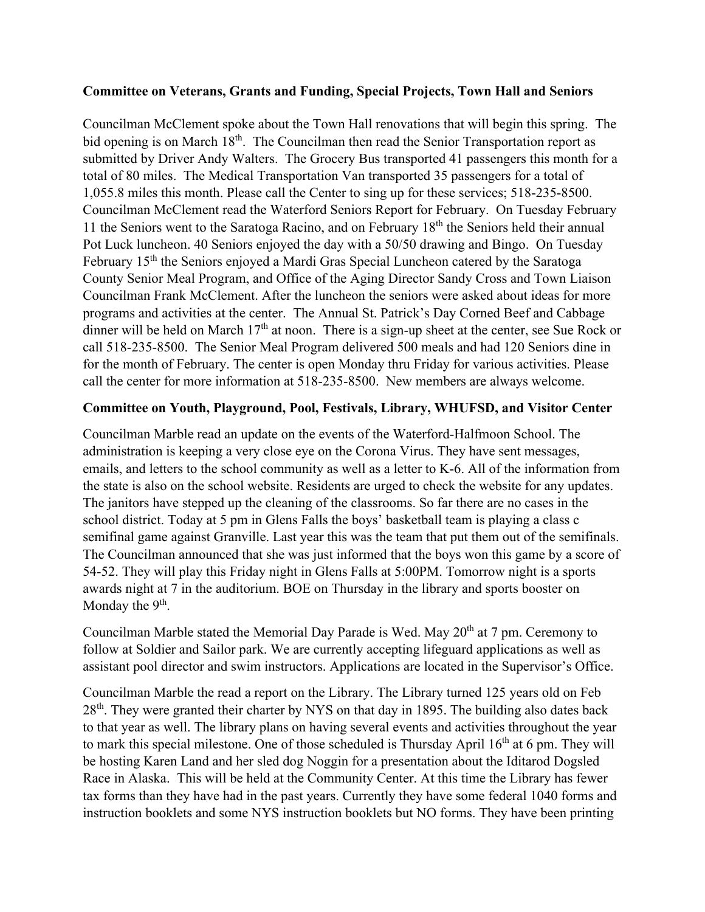## **Committee on Veterans, Grants and Funding, Special Projects, Town Hall and Seniors**

Councilman McClement spoke about the Town Hall renovations that will begin this spring. The bid opening is on March 18<sup>th</sup>. The Councilman then read the Senior Transportation report as submitted by Driver Andy Walters. The Grocery Bus transported 41 passengers this month for a total of 80 miles. The Medical Transportation Van transported 35 passengers for a total of 1,055.8 miles this month. Please call the Center to sing up for these services; 518-235-8500. Councilman McClement read the Waterford Seniors Report for February. On Tuesday February 11 the Seniors went to the Saratoga Racino, and on February 18th the Seniors held their annual Pot Luck luncheon. 40 Seniors enjoyed the day with a 50/50 drawing and Bingo. On Tuesday February 15<sup>th</sup> the Seniors enjoyed a Mardi Gras Special Luncheon catered by the Saratoga County Senior Meal Program, and Office of the Aging Director Sandy Cross and Town Liaison Councilman Frank McClement. After the luncheon the seniors were asked about ideas for more programs and activities at the center. The Annual St. Patrick's Day Corned Beef and Cabbage dinner will be held on March  $17<sup>th</sup>$  at noon. There is a sign-up sheet at the center, see Sue Rock or call 518-235-8500. The Senior Meal Program delivered 500 meals and had 120 Seniors dine in for the month of February. The center is open Monday thru Friday for various activities. Please call the center for more information at 518-235-8500. New members are always welcome.

# **Committee on Youth, Playground, Pool, Festivals, Library, WHUFSD, and Visitor Center**

Councilman Marble read an update on the events of the Waterford-Halfmoon School. The administration is keeping a very close eye on the Corona Virus. They have sent messages, emails, and letters to the school community as well as a letter to K-6. All of the information from the state is also on the school website. Residents are urged to check the website for any updates. The janitors have stepped up the cleaning of the classrooms. So far there are no cases in the school district. Today at 5 pm in Glens Falls the boys' basketball team is playing a class c semifinal game against Granville. Last year this was the team that put them out of the semifinals. The Councilman announced that she was just informed that the boys won this game by a score of 54-52. They will play this Friday night in Glens Falls at 5:00PM. Tomorrow night is a sports awards night at 7 in the auditorium. BOE on Thursday in the library and sports booster on Monday the  $9<sup>th</sup>$ .

Councilman Marble stated the Memorial Day Parade is Wed. May 20<sup>th</sup> at 7 pm. Ceremony to follow at Soldier and Sailor park. We are currently accepting lifeguard applications as well as assistant pool director and swim instructors. Applications are located in the Supervisor's Office.

Councilman Marble the read a report on the Library. The Library turned 125 years old on Feb 28<sup>th</sup>. They were granted their charter by NYS on that day in 1895. The building also dates back to that year as well. The library plans on having several events and activities throughout the year to mark this special milestone. One of those scheduled is Thursday April  $16<sup>th</sup>$  at 6 pm. They will be hosting Karen Land and her sled dog Noggin for a presentation about the Iditarod Dogsled Race in Alaska. This will be held at the Community Center. At this time the Library has fewer tax forms than they have had in the past years. Currently they have some federal 1040 forms and instruction booklets and some NYS instruction booklets but NO forms. They have been printing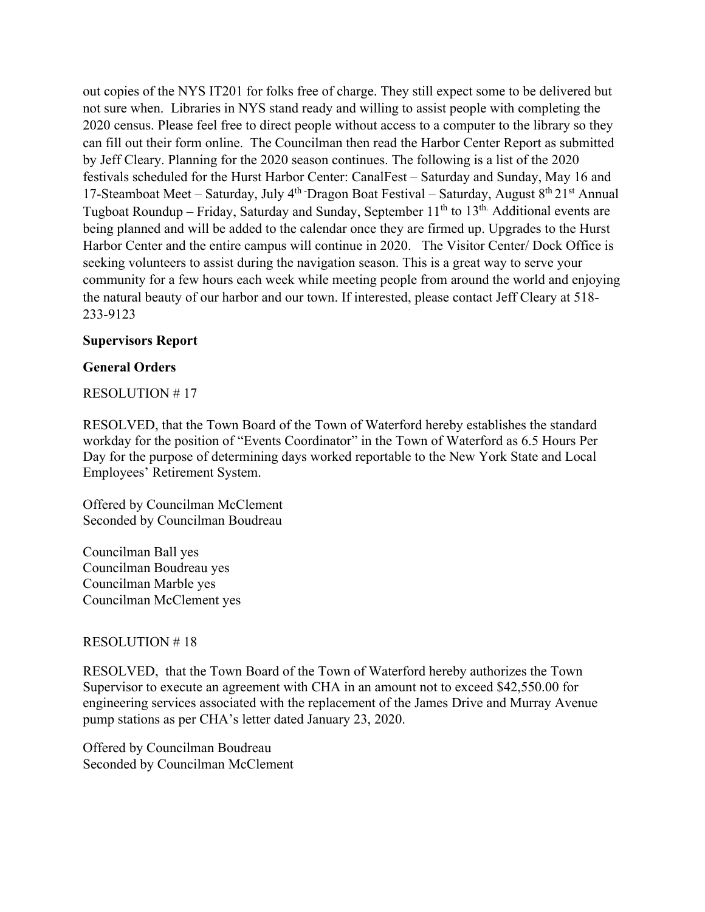out copies of the NYS IT201 for folks free of charge. They still expect some to be delivered but not sure when. Libraries in NYS stand ready and willing to assist people with completing the 2020 census. Please feel free to direct people without access to a computer to the library so they can fill out their form online. The Councilman then read the Harbor Center Report as submitted by Jeff Cleary. Planning for the 2020 season continues. The following is a list of the 2020 festivals scheduled for the Hurst Harbor Center: CanalFest – Saturday and Sunday, May 16 and 17-Steamboat Meet – Saturday, July  $4<sup>th</sup>$  Dragon Boat Festival – Saturday, August  $8<sup>th</sup> 21<sup>st</sup>$  Annual Tugboat Roundup – Friday, Saturday and Sunday, September  $11<sup>th</sup>$  to  $13<sup>th</sup>$ . Additional events are being planned and will be added to the calendar once they are firmed up. Upgrades to the Hurst Harbor Center and the entire campus will continue in 2020. The Visitor Center/ Dock Office is seeking volunteers to assist during the navigation season. This is a great way to serve your community for a few hours each week while meeting people from around the world and enjoying the natural beauty of our harbor and our town. If interested, please contact Jeff Cleary at 518- 233-9123

## **Supervisors Report**

## **General Orders**

### RESOLUTION # 17

RESOLVED, that the Town Board of the Town of Waterford hereby establishes the standard workday for the position of "Events Coordinator" in the Town of Waterford as 6.5 Hours Per Day for the purpose of determining days worked reportable to the New York State and Local Employees' Retirement System.

Offered by Councilman McClement Seconded by Councilman Boudreau

Councilman Ball yes Councilman Boudreau yes Councilman Marble yes Councilman McClement yes

#### RESOLUTION # 18

RESOLVED, that the Town Board of the Town of Waterford hereby authorizes the Town Supervisor to execute an agreement with CHA in an amount not to exceed \$42,550.00 for engineering services associated with the replacement of the James Drive and Murray Avenue pump stations as per CHA's letter dated January 23, 2020.

Offered by Councilman Boudreau Seconded by Councilman McClement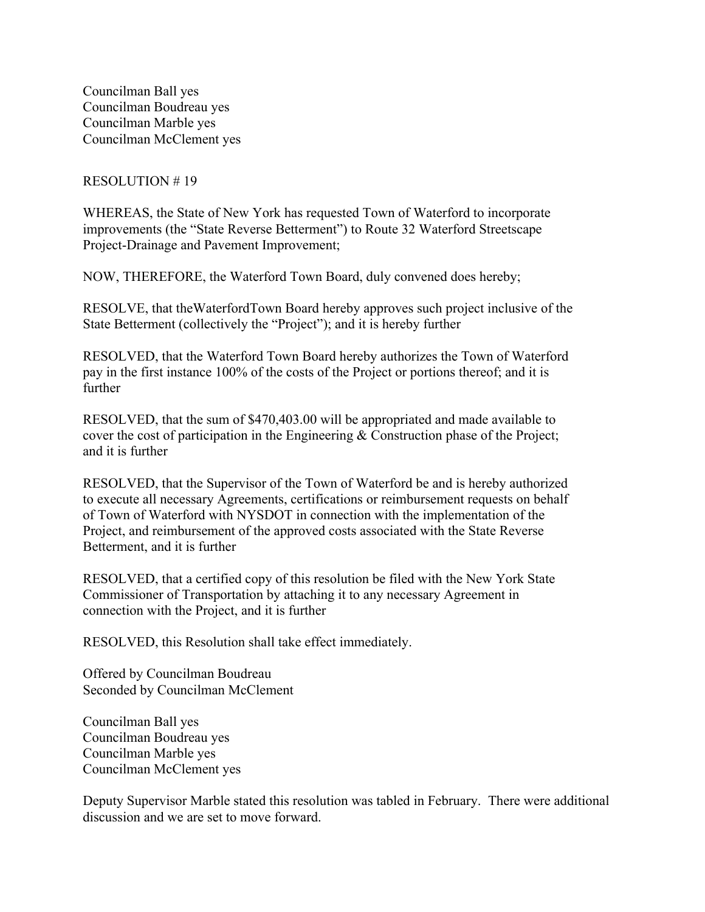Councilman Ball yes Councilman Boudreau yes Councilman Marble yes Councilman McClement yes

#### RESOLUTION # 19

WHEREAS, the State of New York has requested Town of Waterford to incorporate improvements (the "State Reverse Betterment") to Route 32 Waterford Streetscape Project-Drainage and Pavement Improvement;

NOW, THEREFORE, the Waterford Town Board, duly convened does hereby;

RESOLVE, that theWaterfordTown Board hereby approves such project inclusive of the State Betterment (collectively the "Project"); and it is hereby further

RESOLVED, that the Waterford Town Board hereby authorizes the Town of Waterford pay in the first instance 100% of the costs of the Project or portions thereof; and it is further

RESOLVED, that the sum of \$470,403.00 will be appropriated and made available to cover the cost of participation in the Engineering & Construction phase of the Project; and it is further

RESOLVED, that the Supervisor of the Town of Waterford be and is hereby authorized to execute all necessary Agreements, certifications or reimbursement requests on behalf of Town of Waterford with NYSDOT in connection with the implementation of the Project, and reimbursement of the approved costs associated with the State Reverse Betterment, and it is further

RESOLVED, that a certified copy of this resolution be filed with the New York State Commissioner of Transportation by attaching it to any necessary Agreement in connection with the Project, and it is further

RESOLVED, this Resolution shall take effect immediately.

Offered by Councilman Boudreau Seconded by Councilman McClement

Councilman Ball yes Councilman Boudreau yes Councilman Marble yes Councilman McClement yes

Deputy Supervisor Marble stated this resolution was tabled in February. There were additional discussion and we are set to move forward.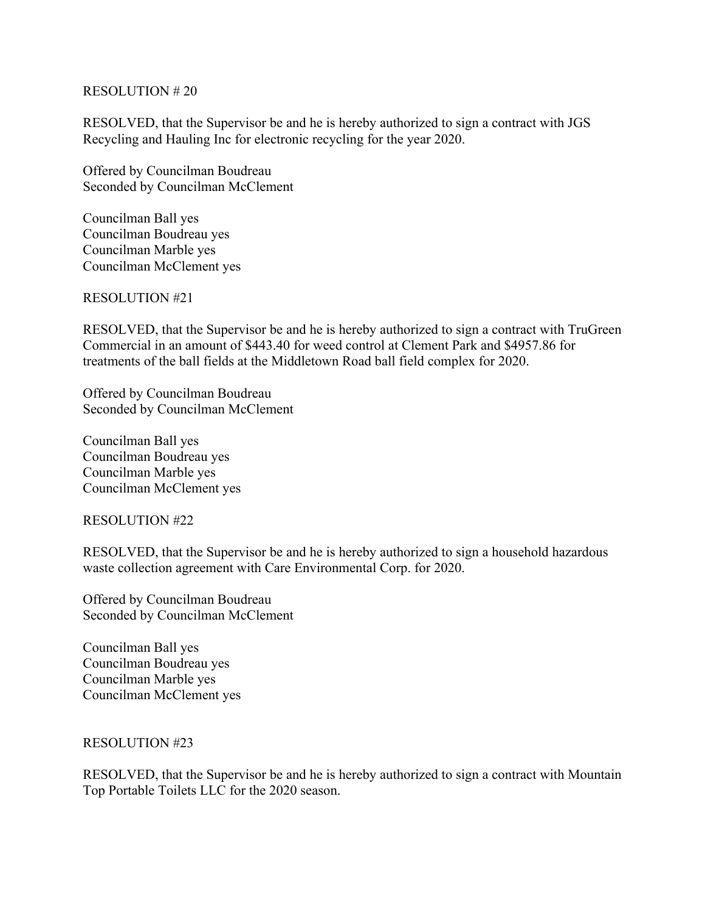### RESOLUTION # 20

RESOLVED, that the Supervisor be and he is hereby authorized to sign a contract with JGS Recycling and Hauling Inc for electronic recycling for the year 2020.

Offered by Councilman Boudreau Seconded by Councilman McClement

Councilman Ball yes Councilman Boudreau yes Councilman Marble yes Councilman McClement yes

RESOLUTION #21

RESOLVED, that the Supervisor be and he is hereby authorized to sign a contract with TruGreen Commercial in an amount of \$443.40 for weed control at Clement Park and \$4957.86 for treatments of the ball fields at the Middletown Road ball field complex for 2020.

Offered by Councilman Boudreau Seconded by Councilman McClement

Councilman Ball yes Councilman Boudreau yes Councilman Marble yes Councilman McClement yes

RESOLUTION #22

RESOLVED, that the Supervisor be and he is hereby authorized to sign a household hazardous waste collection agreement with Care Environmental Corp. for 2020.

Offered by Councilman Boudreau Seconded by Councilman McClement

Councilman Ball yes Councilman Boudreau yes Councilman Marble yes Councilman McClement yes

#### RESOLUTION #23

RESOLVED, that the Supervisor be and he is hereby authorized to sign a contract with Mountain Top Portable Toilets LLC for the 2020 season.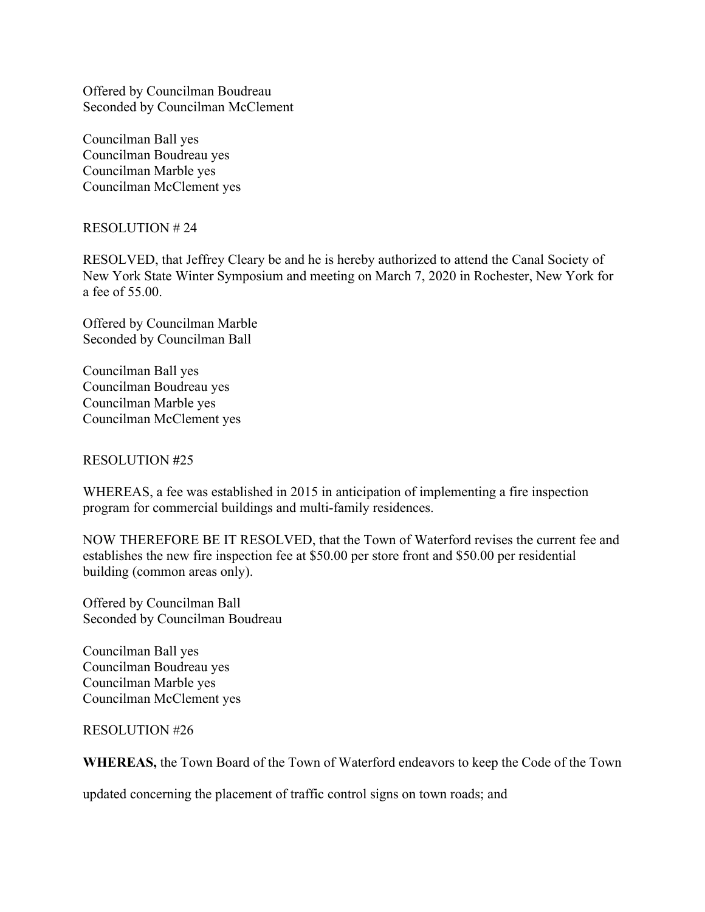Offered by Councilman Boudreau Seconded by Councilman McClement

Councilman Ball yes Councilman Boudreau yes Councilman Marble yes Councilman McClement yes

RESOLUTION # 24

RESOLVED, that Jeffrey Cleary be and he is hereby authorized to attend the Canal Society of New York State Winter Symposium and meeting on March 7, 2020 in Rochester, New York for a fee of 55.00.

Offered by Councilman Marble Seconded by Councilman Ball

Councilman Ball yes Councilman Boudreau yes Councilman Marble yes Councilman McClement yes

## RESOLUTION **#**25

WHEREAS, a fee was established in 2015 in anticipation of implementing a fire inspection program for commercial buildings and multi-family residences.

NOW THEREFORE BE IT RESOLVED, that the Town of Waterford revises the current fee and establishes the new fire inspection fee at \$50.00 per store front and \$50.00 per residential building (common areas only).

Offered by Councilman Ball Seconded by Councilman Boudreau

Councilman Ball yes Councilman Boudreau yes Councilman Marble yes Councilman McClement yes

RESOLUTION #26

**WHEREAS,** the Town Board of the Town of Waterford endeavors to keep the Code of the Town

updated concerning the placement of traffic control signs on town roads; and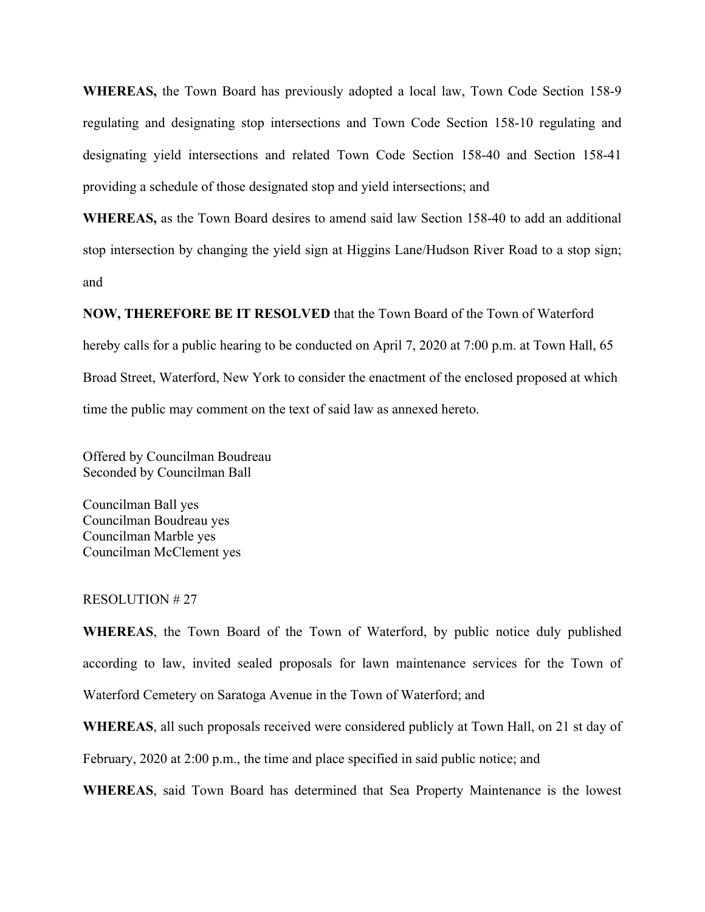**WHEREAS,** the Town Board has previously adopted a local law, Town Code Section 158-9 regulating and designating stop intersections and Town Code Section 158-10 regulating and designating yield intersections and related Town Code Section 158-40 and Section 158-41 providing a schedule of those designated stop and yield intersections; and

**WHEREAS,** as the Town Board desires to amend said law Section 158-40 to add an additional stop intersection by changing the yield sign at Higgins Lane/Hudson River Road to a stop sign; and

**NOW, THEREFORE BE IT RESOLVED** that the Town Board of the Town of Waterford hereby calls for a public hearing to be conducted on April 7, 2020 at 7:00 p.m. at Town Hall, 65 Broad Street, Waterford, New York to consider the enactment of the enclosed proposed at which time the public may comment on the text of said law as annexed hereto.

Offered by Councilman Boudreau Seconded by Councilman Ball

Councilman Ball yes Councilman Boudreau yes Councilman Marble yes Councilman McClement yes

#### RESOLUTION # 27

**WHEREAS**, the Town Board of the Town of Waterford, by public notice duly published according to law, invited sealed proposals for lawn maintenance services for the Town of Waterford Cemetery on Saratoga Avenue in the Town of Waterford; and

**WHEREAS**, all such proposals received were considered publicly at Town Hall, on 21 st day of

February, 2020 at 2:00 p.m., the time and place specified in said public notice; and

**WHEREAS**, said Town Board has determined that Sea Property Maintenance is the lowest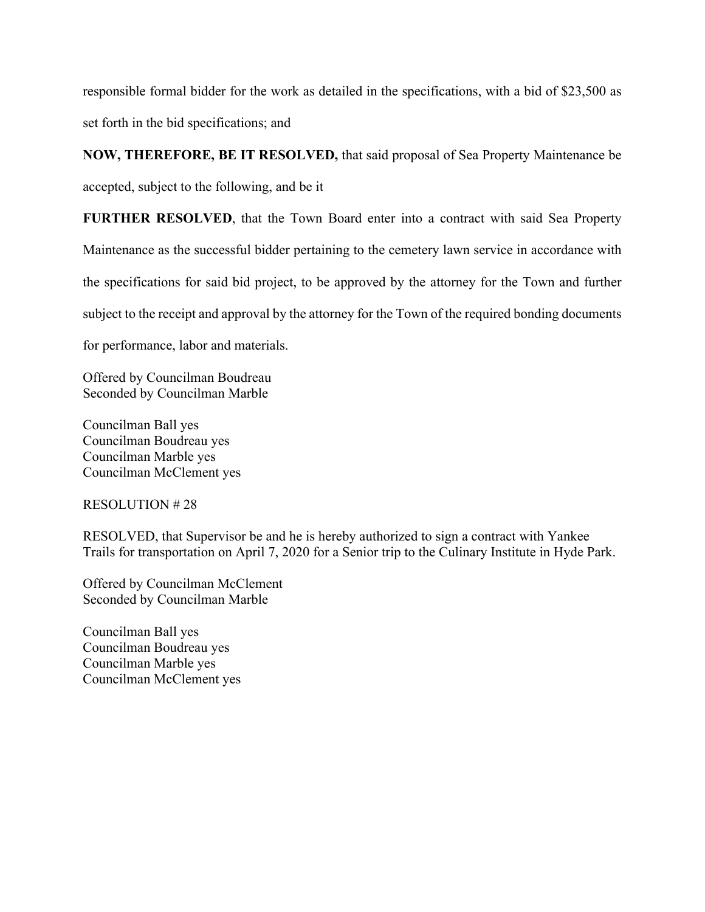responsible formal bidder for the work as detailed in the specifications, with a bid of \$23,500 as set forth in the bid specifications; and

**NOW, THEREFORE, BE IT RESOLVED,** that said proposal of Sea Property Maintenance be accepted, subject to the following, and be it

**FURTHER RESOLVED**, that the Town Board enter into a contract with said Sea Property Maintenance as the successful bidder pertaining to the cemetery lawn service in accordance with the specifications for said bid project, to be approved by the attorney for the Town and further subject to the receipt and approval by the attorney for the Town of the required bonding documents for performance, labor and materials.

Offered by Councilman Boudreau Seconded by Councilman Marble

Councilman Ball yes Councilman Boudreau yes Councilman Marble yes Councilman McClement yes

RESOLUTION # 28

RESOLVED, that Supervisor be and he is hereby authorized to sign a contract with Yankee Trails for transportation on April 7, 2020 for a Senior trip to the Culinary Institute in Hyde Park.

Offered by Councilman McClement Seconded by Councilman Marble

Councilman Ball yes Councilman Boudreau yes Councilman Marble yes Councilman McClement yes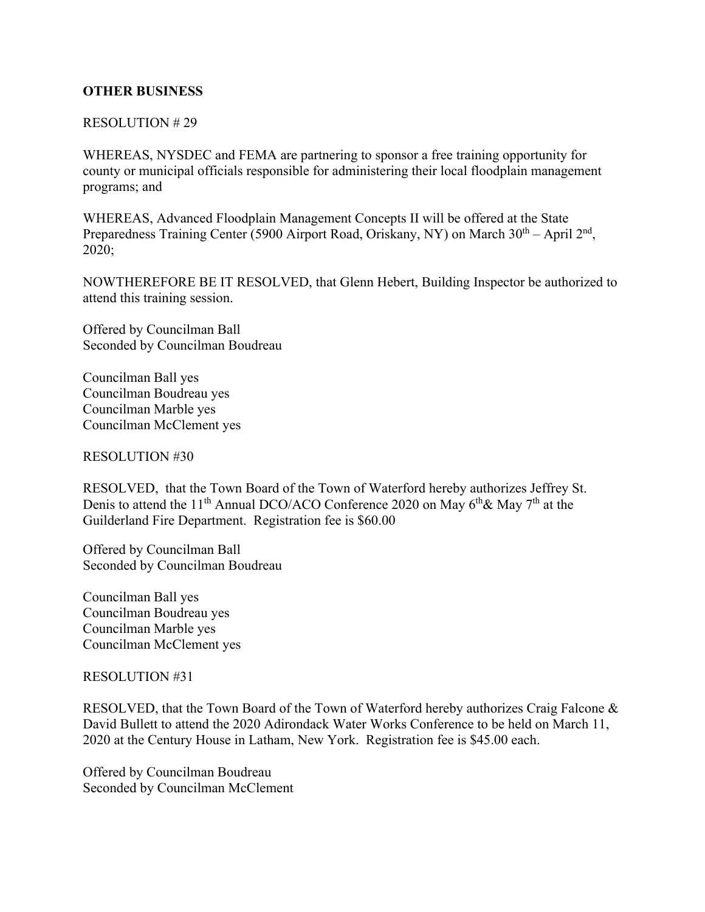## **OTHER BUSINESS**

### RESOLUTION # 29

WHEREAS, NYSDEC and FEMA are partnering to sponsor a free training opportunity for county or municipal officials responsible for administering their local floodplain management programs; and

WHEREAS, Advanced Floodplain Management Concepts II will be offered at the State Preparedness Training Center (5900 Airport Road, Oriskany, NY) on March  $30<sup>th</sup> - April 2<sup>nd</sup>$ , 2020;

NOWTHEREFORE BE IT RESOLVED, that Glenn Hebert, Building Inspector be authorized to attend this training session.

Offered by Councilman Ball Seconded by Councilman Boudreau

Councilman Ball yes Councilman Boudreau yes Councilman Marble yes Councilman McClement yes

RESOLUTION #30

RESOLVED, that the Town Board of the Town of Waterford hereby authorizes Jeffrey St. Denis to attend the 11<sup>th</sup> Annual DCO/ACO Conference 2020 on May  $6<sup>th</sup>$ & May  $7<sup>th</sup>$  at the Guilderland Fire Department. Registration fee is \$60.00

Offered by Councilman Ball Seconded by Councilman Boudreau

Councilman Ball yes Councilman Boudreau yes Councilman Marble yes Councilman McClement yes

RESOLUTION #31

RESOLVED, that the Town Board of the Town of Waterford hereby authorizes Craig Falcone & David Bullett to attend the 2020 Adirondack Water Works Conference to be held on March 11, 2020 at the Century House in Latham, New York. Registration fee is \$45.00 each.

Offered by Councilman Boudreau Seconded by Councilman McClement